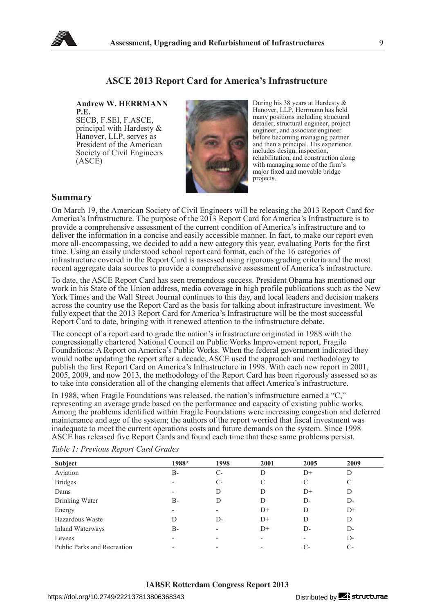

## **ASCE 2013 Report Card for America's Infrastructure**

**Andrew W. HERRMANN P.E.** 

SECB, F.SEI, F.ASCE, principal with Hardesty & Hanover, LLP, serves as President of the American Society of Civil Engineers (ASCE)



During his 38 years at Hardesty & Hanover, LLP, Herrmann has held many positions including structural detailer, structural engineer, project engineer, and associate engineer before becoming managing partner and then a principal. His experience includes design, inspection, rehabilitation, and construction along with managing some of the firm's major fixed and movable bridge projects.

## **Summary**

On March 19, the American Society of Civil Engineers will be releasing the 2013 Report Card for America's Infrastructure. The purpose of the 2013 Report Card for America's Infrastructure is to provide a comprehensive assessment of the current condition of America's infrastructure and to deliver the information in a concise and easily accessible manner. In fact, to make our report even more all-encompassing, we decided to add a new category this year, evaluating Ports for the first time. Using an easily understood school report card format, each of the 16 categories of infrastructure covered in the Report Card is assessed using rigorous grading criteria and the most recent aggregate data sources to provide a comprehensive assessment of America's infrastructure.

To date, the ASCE Report Card has seen tremendous success. President Obama has mentioned our work in his State of the Union address, media coverage in high profile publications such as the New York Times and the Wall Street Journal continues to this day, and local leaders and decision makers across the country use the Report Card as the basis for talking about infrastructure investment. We fully expect that the 2013 Report Card for America's Infrastructure will be the most successful Report Card to date, bringing with it renewed attention to the infrastructure debate.

The concept of a report card to grade the nation's infrastructure originated in 1988 with the congressionally chartered National Council on Public Works Improvement report, Fragile Foundations: A Report on America's Public Works. When the federal government indicated they would notbe updating the report after a decade, ASCE used the approach and methodology to publish the first Report Card on America's Infrastructure in 1998. With each new report in 2001, 2005, 2009, and now 2013, the methodology of the Report Card has been rigorously assessed so as to take into consideration all of the changing elements that affect America's infrastructure.

In 1988, when Fragile Foundations was released, the nation's infrastructure earned a "C," representing an average grade based on the performance and capacity of existing public works. Among the problems identified within Fragile Foundations were increasing congestion and deferred maintenance and age of the system; the authors of the report worried that fiscal investment was inadequate to meet the current operations costs and future demands on the system. Since 1998 ASCE has released five Report Cards and found each time that these same problems persist.

| Subject                     | 1988*                    | 1998                     | 2001 | 2005 | 2009 |
|-----------------------------|--------------------------|--------------------------|------|------|------|
| Aviation                    | B-                       | $C-$                     | D    | $D+$ | D    |
| <b>Bridges</b>              | $\overline{\phantom{a}}$ | $C-$                     | C    | C    |      |
| Dams                        | -                        | D                        | D    | $D+$ | D    |
| Drinking Water              | B-                       | D                        | D    | $D-$ | D-   |
| Energy                      | $\overline{\phantom{a}}$ | -                        | D+   | D    | $D+$ |
| Hazardous Waste             | D                        | D-                       | $D+$ | D    | D    |
| Inland Waterways            | $B -$                    | $\overline{\phantom{0}}$ | $D+$ | D-   | D-   |
| Levees                      |                          | -                        | -    |      | $D-$ |
| Public Parks and Recreation | $\overline{\phantom{0}}$ | $\overline{\phantom{0}}$ | -    | C-   | С-   |

*Table 1: Previous Report Card Grades*